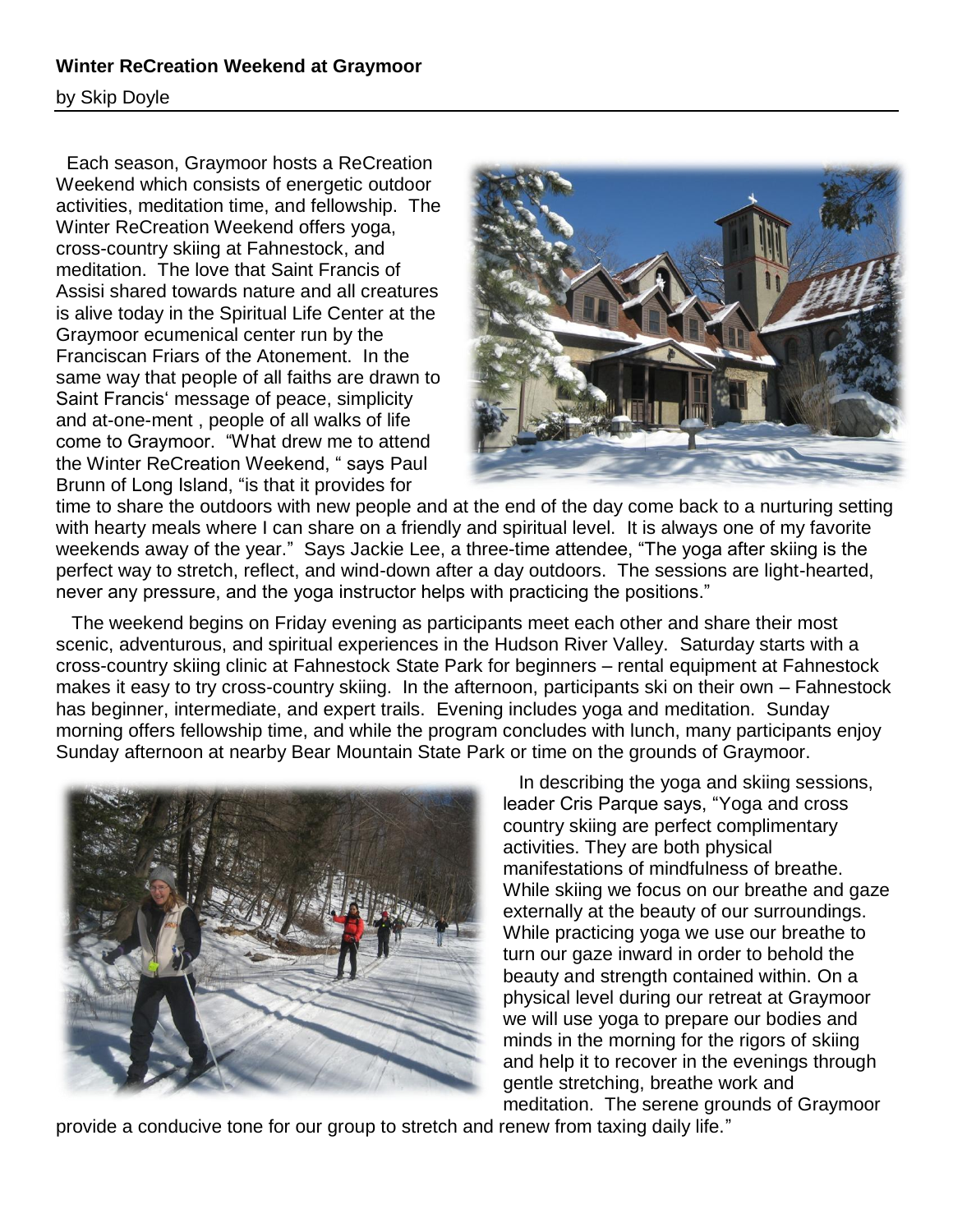## **Winter ReCreation Weekend at Graymoor**

by Skip Doyle

 Each season, Graymoor hosts a ReCreation Weekend which consists of energetic outdoor activities, meditation time, and fellowship. The Winter ReCreation Weekend offers yoga, cross-country skiing at Fahnestock, and meditation. The love that Saint Francis of Assisi shared towards nature and all creatures is alive today in the Spiritual Life Center at the Graymoor ecumenical center run by the Franciscan Friars of the Atonement. In the same way that people of all faiths are drawn to Saint Francis" message of peace, simplicity and at-one-ment , people of all walks of life come to Graymoor. "What drew me to attend the Winter ReCreation Weekend, " says Paul Brunn of Long Island, "is that it provides for



time to share the outdoors with new people and at the end of the day come back to a nurturing setting with hearty meals where I can share on a friendly and spiritual level. It is always one of my favorite weekends away of the year." Says Jackie Lee, a three-time attendee, "The yoga after skiing is the perfect way to stretch, reflect, and wind-down after a day outdoors. The sessions are light-hearted, never any pressure, and the yoga instructor helps with practicing the positions."

 The weekend begins on Friday evening as participants meet each other and share their most scenic, adventurous, and spiritual experiences in the Hudson River Valley. Saturday starts with a cross-country skiing clinic at Fahnestock State Park for beginners – rental equipment at Fahnestock makes it easy to try cross-country skiing. In the afternoon, participants ski on their own – Fahnestock has beginner, intermediate, and expert trails. Evening includes yoga and meditation. Sunday morning offers fellowship time, and while the program concludes with lunch, many participants enjoy Sunday afternoon at nearby Bear Mountain State Park or time on the grounds of Graymoor.



 In describing the yoga and skiing sessions, leader Cris Parque says, "Yoga and cross country skiing are perfect complimentary activities. They are both physical manifestations of mindfulness of breathe. While skiing we focus on our breathe and gaze externally at the beauty of our surroundings. While practicing yoga we use our breathe to turn our gaze inward in order to behold the beauty and strength contained within. On a physical level during our retreat at Graymoor we will use yoga to prepare our bodies and minds in the morning for the rigors of skiing and help it to recover in the evenings through gentle stretching, breathe work and meditation. The serene grounds of Graymoor

provide a conducive tone for our group to stretch and renew from taxing daily life."